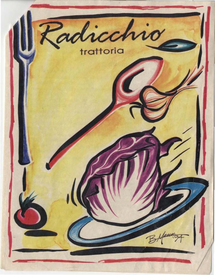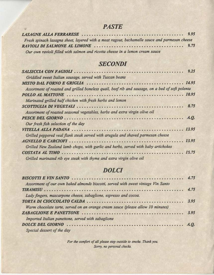### **PASTE**

| Fresh spinach lasagna sheet, layered with a meat ragout, bechamelle sauce and parmesan cheese |  |
|-----------------------------------------------------------------------------------------------|--|
|                                                                                               |  |
| Our own ravioli filled with salmon and ricotta cheese in a lemon cream sauce                  |  |

室

### **SECONDI**

| Griddled sweet Italian sausage, served with Tuscan beans                                         |  |
|--------------------------------------------------------------------------------------------------|--|
|                                                                                                  |  |
| Assortment of roasted and grilled boneless quail, beef rib and sausage, on a bed of soft polenta |  |
|                                                                                                  |  |
| Marinated grilled half chicken with fresh herbs and lemon                                        |  |
|                                                                                                  |  |
| Assortment of roasted seasonal vegetables, herbs and extra virgin olive oil                      |  |
|                                                                                                  |  |
| Our fresh fish selection of the day                                                              |  |
|                                                                                                  |  |
| Grilled peppered veal flank steak served with arugula and shaved parmesan cheese                 |  |
|                                                                                                  |  |
| Grilled New Zealand lamb chops, with garlic and herbs, served with baby artichokes               |  |
|                                                                                                  |  |
| Grilled marinated rib eye steak with thyme and extra virgin olive oil                            |  |

# **DOLCI**

| Assortment of our own baked almonds biscotti, served with sweet vintage Vin Santo |  |
|-----------------------------------------------------------------------------------|--|
|                                                                                   |  |
| Lady fingers, mascarpone cheese, zabaglione, espresso and cocoa.                  |  |
|                                                                                   |  |
| Warm chocolate tarte, served on an orange cream sauce (please allow 10 minutes)   |  |
|                                                                                   |  |
| Imported Italian panettone, served with zabaglione                                |  |
|                                                                                   |  |
| Special dessert of the day                                                        |  |

For the comfort of all please step outside to smoke. Thank you. Sorry, no personal checks.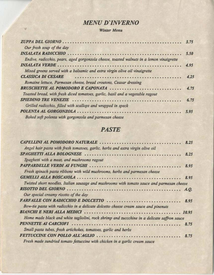# **MENU D'INVERNO**

#### Winter Menu

W.

| Our fresh soup of the day                                                                |      |
|------------------------------------------------------------------------------------------|------|
|                                                                                          |      |
| Endive, radicchio, pears, aged gorgonzola cheese, toasted walnuts in a lemon vinaigrette |      |
|                                                                                          |      |
| Mixed greens served with a balsamic and extra virgin olive oil vinaigrette               |      |
| <b>CLASSICA DI CESARE</b>                                                                |      |
| Romaine lettuce, Parmesan cheese, bread croutons, Ceasar dressing                        |      |
|                                                                                          |      |
| Toasted bread, with fresh diced tomatoes, garlic, basil and a vegetable ragout           |      |
|                                                                                          | 6.75 |
| Grilled radicchio, filled with scallops and wrapped in speck                             |      |
|                                                                                          |      |
| Baked soft polenta with gorgonzola and parmesan cheese                                   |      |

## **PASTE**

| Angel hair pasta with fresh tomatoes, garlic, herbs and extra virgin olive oil              |  |
|---------------------------------------------------------------------------------------------|--|
|                                                                                             |  |
| Spaghetti with a meat, and mushrooms ragout                                                 |  |
|                                                                                             |  |
| Fresh spinach pasta ribbons with wild mushrooms, herbs and parmesan cheese                  |  |
|                                                                                             |  |
| Twisted short noodles, Italian sausage and mushrooms with tomato sauce and parmesan cheese  |  |
|                                                                                             |  |
| Our special creamy risotto of the day                                                       |  |
|                                                                                             |  |
| Bow-tie pasta with radicchio in a delicate dolcetto cheese cream sauce and pinenuts         |  |
|                                                                                             |  |
| Home made black and white tagliolini, rock shrimp and zuccchine in a delicate saffron sauce |  |
|                                                                                             |  |
| Small pasta tubes, fresh artichokes, tomatoes, garlic and herbs                             |  |
|                                                                                             |  |
| Fresh made sundried tomato fettuccine with chicken in a varlic cream squee                  |  |